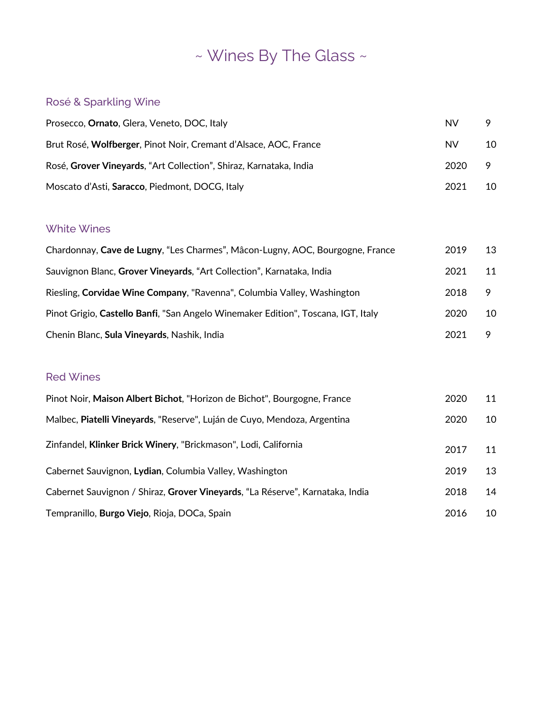# ~ Wines By The Glass ~

#### Rosé & Sparkling Wine

| Prosecco, Ornato, Glera, Veneto, DOC, Italy                        | NV.       | 9  |
|--------------------------------------------------------------------|-----------|----|
| Brut Rosé, Wolfberger, Pinot Noir, Cremant d'Alsace, AOC, France   | <b>NV</b> | 10 |
| Rosé, Grover Vineyards, "Art Collection", Shiraz, Karnataka, India | 2020      | 9  |
| Moscato d'Asti, Saracco, Piedmont, DOCG, Italy                     | 2021      | 10 |

#### White Wines

| Chardonnay, Cave de Lugny, "Les Charmes", Mâcon-Lugny, AOC, Bourgogne, France     | 2019 | 13 |
|-----------------------------------------------------------------------------------|------|----|
| Sauvignon Blanc, Grover Vineyards, "Art Collection", Karnataka, India             | 2021 | 11 |
| Riesling, Corvidae Wine Company, "Ravenna", Columbia Valley, Washington           | 2018 | 9  |
| Pinot Grigio, Castello Banfi, "San Angelo Winemaker Edition", Toscana, IGT, Italy | 2020 | 10 |
| Chenin Blanc, Sula Vineyards, Nashik, India                                       | 2021 | 9  |

#### Red Wines

| Pinot Noir, Maison Albert Bichot, "Horizon de Bichot", Bourgogne, France      | 2020 | 11 |
|-------------------------------------------------------------------------------|------|----|
| Malbec, Piatelli Vineyards, "Reserve", Luján de Cuyo, Mendoza, Argentina      | 2020 | 10 |
| Zinfandel, Klinker Brick Winery, "Brickmason", Lodi, California               | 2017 | 11 |
| Cabernet Sauvignon, Lydian, Columbia Valley, Washington                       | 2019 | 13 |
| Cabernet Sauvignon / Shiraz, Grover Vineyards, "La Réserve", Karnataka, India | 2018 | 14 |
| Tempranillo, Burgo Viejo, Rioja, DOCa, Spain                                  | 2016 | 10 |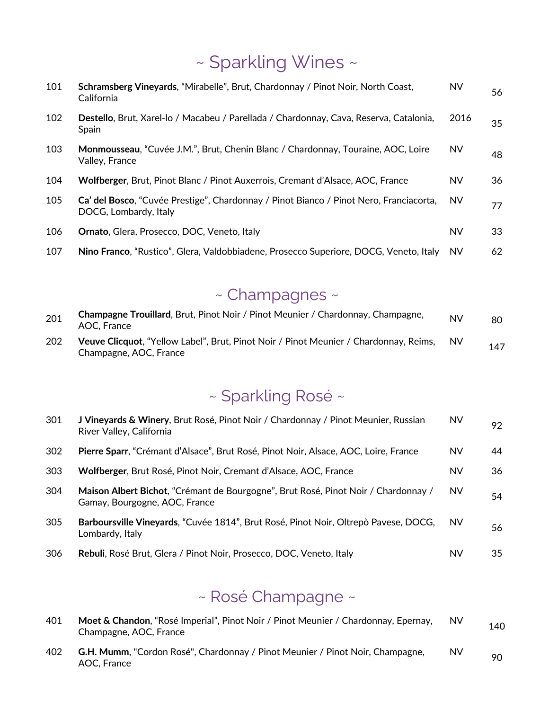## ~ Sparkling Wines ~

| 101 | Schramsberg Vineyards, "Mirabelle", Brut, Chardonnay / Pinot Noir, North Coast,<br>California                   | <b>NV</b> | 56 |
|-----|-----------------------------------------------------------------------------------------------------------------|-----------|----|
| 102 | Destello, Brut, Xarel-lo / Macabeu / Parellada / Chardonnay, Cava, Reserva, Catalonia,<br>Spain                 | 2016      | 35 |
| 103 | Monmousseau, "Cuvée J.M.", Brut, Chenin Blanc / Chardonnay, Touraine, AOC, Loire<br>Valley, France              | <b>NV</b> | 48 |
| 104 | Wolfberger, Brut, Pinot Blanc / Pinot Auxerrois, Cremant d'Alsace, AOC, France                                  | NV        | 36 |
| 105 | Ca' del Bosco, "Cuvée Prestige", Chardonnay / Pinot Bianco / Pinot Nero, Franciacorta,<br>DOCG, Lombardy, Italy | <b>NV</b> | 77 |
| 106 | <b>Ornato, Glera, Prosecco, DOC, Veneto, Italy</b>                                                              | NV        | 33 |
| 107 | Nino Franco, "Rustico", Glera, Valdobbiadene, Prosecco Superiore, DOCG, Veneto, Italy                           | <b>NV</b> | 62 |

## ~ Champagnes ~

| 201 | Champagne Trouillard, Brut, Pinot Noir / Pinot Meunier / Chardonnay, Champagne,<br>AOC. France                  | <b>NV</b> | 80  |
|-----|-----------------------------------------------------------------------------------------------------------------|-----------|-----|
| 202 | Veuve Clicquot, "Yellow Label", Brut, Pinot Noir / Pinot Meunier / Chardonnay, Reims,<br>Champagne, AOC, France | <b>NV</b> | 147 |

## ~ Sparkling Rosé ~

| 301 | J Vineyards & Winery, Brut Rosé, Pinot Noir / Chardonnay / Pinot Meunier, Russian<br>River Valley, California       | NV        | 92  |
|-----|---------------------------------------------------------------------------------------------------------------------|-----------|-----|
| 302 | Pierre Sparr, "Crémant d'Alsace", Brut Rosé, Pinot Noir, Alsace, AOC, Loire, France                                 | <b>NV</b> | 44  |
| 303 | Wolfberger, Brut Rosé, Pinot Noir, Cremant d'Alsace, AOC, France                                                    | NV        | 36  |
| 304 | Maison Albert Bichot, "Crémant de Bourgogne", Brut Rosé, Pinot Noir / Chardonnay /<br>Gamay, Bourgogne, AOC, France | <b>NV</b> | 54  |
| 305 | Barboursville Vineyards, "Cuvée 1814", Brut Rosé, Pinot Noir, Oltrepò Pavese, DOCG,<br>Lombardy, Italy              | <b>NV</b> | 56  |
| 306 | Rebuli, Rosé Brut, Glera / Pinot Noir, Prosecco, DOC, Veneto, Italy                                                 | NV        | 35. |

## ~ Rosé Champagne ~

| 401 | Moet & Chandon, "Rosé Imperial", Pinot Noir / Pinot Meunier / Chardonnay, Epernay,<br>Champagne, AOC, France | <b>NV</b> | 140 |
|-----|--------------------------------------------------------------------------------------------------------------|-----------|-----|
| 402 | <b>G.H. Mumm, "Cordon Rosé", Chardonnay / Pinot Meunier / Pinot Noir, Champagne,</b><br>AOC. France          | NV        | 90  |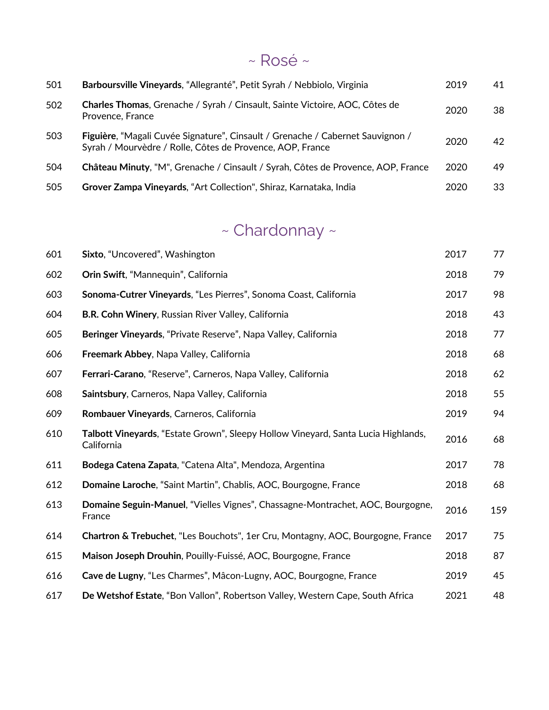#### $~\sim$  Rosé  $\sim$

| 501 | Barboursville Vineyards, "Allegranté", Petit Syrah / Nebbiolo, Virginia                                                                     | 2019 | 41 |
|-----|---------------------------------------------------------------------------------------------------------------------------------------------|------|----|
| 502 | Charles Thomas, Grenache / Syrah / Cinsault, Sainte Victoire, AOC, Côtes de<br>Provence, France                                             | 2020 | 38 |
| 503 | Figuière, "Magali Cuvée Signature", Cinsault / Grenache / Cabernet Sauvignon /<br>Syrah / Mourvèdre / Rolle, Côtes de Provence, AOP, France | 2020 | 42 |
| 504 | Château Minuty, "M", Grenache / Cinsault / Syrah, Côtes de Provence, AOP, France                                                            | 2020 | 49 |
| 505 | Grover Zampa Vineyards, "Art Collection", Shiraz, Karnataka, India                                                                          | 2020 | 33 |

## ~ Chardonnay ~

| 601 | Sixto, "Uncovered", Washington                                                                  | 2017 | 77  |
|-----|-------------------------------------------------------------------------------------------------|------|-----|
| 602 | Orin Swift, "Mannequin", California                                                             | 2018 | 79  |
| 603 | Sonoma-Cutrer Vineyards, "Les Pierres", Sonoma Coast, California                                | 2017 | 98  |
| 604 | B.R. Cohn Winery, Russian River Valley, California                                              | 2018 | 43  |
| 605 | Beringer Vineyards, "Private Reserve", Napa Valley, California                                  | 2018 | 77  |
| 606 | Freemark Abbey, Napa Valley, California                                                         | 2018 | 68  |
| 607 | Ferrari-Carano, "Reserve", Carneros, Napa Valley, California                                    | 2018 | 62  |
| 608 | Saintsbury, Carneros, Napa Valley, California                                                   | 2018 | 55  |
| 609 | Rombauer Vineyards, Carneros, California                                                        | 2019 | 94  |
| 610 | Talbott Vineyards, "Estate Grown", Sleepy Hollow Vineyard, Santa Lucia Highlands,<br>California | 2016 | 68  |
| 611 | Bodega Catena Zapata, "Catena Alta", Mendoza, Argentina                                         | 2017 | 78  |
| 612 | Domaine Laroche, "Saint Martin", Chablis, AOC, Bourgogne, France                                | 2018 | 68  |
| 613 | Domaine Seguin-Manuel, "Vielles Vignes", Chassagne-Montrachet, AOC, Bourgogne,<br>France        | 2016 | 159 |
| 614 | Chartron & Trebuchet, "Les Bouchots", 1er Cru, Montagny, AOC, Bourgogne, France                 | 2017 | 75  |
| 615 | Maison Joseph Drouhin, Pouilly-Fuissé, AOC, Bourgogne, France                                   | 2018 | 87  |
| 616 | Cave de Lugny, "Les Charmes", Mâcon-Lugny, AOC, Bourgogne, France                               | 2019 | 45  |
| 617 | De Wetshof Estate, "Bon Vallon", Robertson Valley, Western Cape, South Africa                   | 2021 | 48  |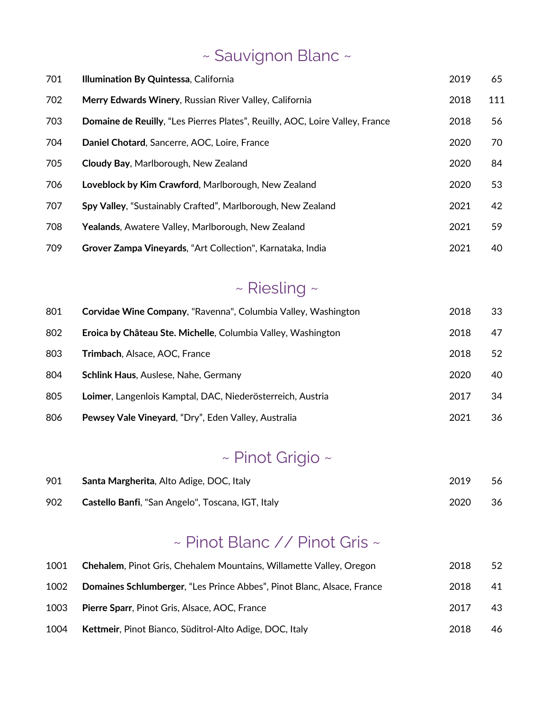# ~ Sauvignon Blanc ~

| 701 | Illumination By Quintessa, California                                        | 2019 | 65  |
|-----|------------------------------------------------------------------------------|------|-----|
| 702 | Merry Edwards Winery, Russian River Valley, California                       | 2018 | 111 |
| 703 | Domaine de Reuilly, "Les Pierres Plates", Reuilly, AOC, Loire Valley, France | 2018 | 56  |
| 704 | Daniel Chotard, Sancerre, AOC, Loire, France                                 | 2020 | 70  |
| 705 | <b>Cloudy Bay, Marlborough, New Zealand</b>                                  | 2020 | 84  |
| 706 | Loveblock by Kim Crawford, Marlborough, New Zealand                          | 2020 | 53  |
| 707 | Spy Valley, "Sustainably Crafted", Marlborough, New Zealand                  | 2021 | 42  |
| 708 | Yealands, Awatere Valley, Marlborough, New Zealand                           | 2021 | 59  |
| 709 | Grover Zampa Vineyards, "Art Collection", Karnataka, India                   | 2021 | 40  |

## ~ Riesling ~

| 801 | Corvidae Wine Company, "Ravenna", Columbia Valley, Washington | 2018 | 33 |
|-----|---------------------------------------------------------------|------|----|
| 802 | Eroica by Château Ste. Michelle, Columbia Valley, Washington  | 2018 | 47 |
| 803 | <b>Trimbach, Alsace, AOC, France</b>                          | 2018 | 52 |
| 804 | <b>Schlink Haus, Auslese, Nahe, Germany</b>                   | 2020 | 40 |
| 805 | Loimer, Langenlois Kamptal, DAC, Niederösterreich, Austria    | 2017 | 34 |
| 806 | Pewsey Vale Vineyard, "Dry", Eden Valley, Australia           | 2021 | 36 |

## ~ Pinot Grigio ~

| 901 | Santa Margherita, Alto Adige, DOC, Italy                 | 2019 | 56 |
|-----|----------------------------------------------------------|------|----|
| 902 | <b>Castello Banfi, "San Angelo", Toscana, IGT, Italy</b> | 2020 | 36 |

## ~ Pinot Blanc // Pinot Gris ~

| 1001 | <b>Chehalem, Pinot Gris, Chehalem Mountains, Willamette Valley, Oregon</b> | 2018 | 52 |
|------|----------------------------------------------------------------------------|------|----|
| 1002 | Domaines Schlumberger, "Les Prince Abbes", Pinot Blanc, Alsace, France     | 2018 | 41 |
| 1003 | <b>Pierre Sparr, Pinot Gris, Alsace, AOC, France</b>                       | 2017 | 43 |
| 1004 | Kettmeir, Pinot Bianco, Süditrol-Alto Adige, DOC, Italy                    | 2018 | 46 |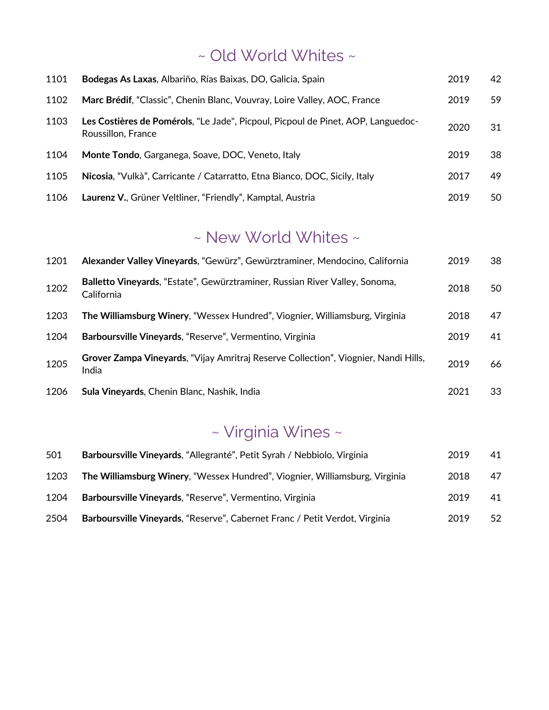## ~ Old World Whites ~

| 1101 | Bodegas As Laxas, Albariño, Rías Baixas, DO, Galicia, Spain                                            | 2019 | 42  |
|------|--------------------------------------------------------------------------------------------------------|------|-----|
| 1102 | Marc Brédif, "Classic", Chenin Blanc, Vouvray, Loire Valley, AOC, France                               | 2019 | 59  |
| 1103 | Les Costières de Pomérols, "Le Jade", Picpoul, Picpoul de Pinet, AOP, Languedoc-<br>Roussillon, France | 2020 | 31  |
| 1104 | Monte Tondo, Garganega, Soave, DOC, Veneto, Italy                                                      | 2019 | 38  |
| 1105 | Nicosia, "Vulkà", Carricante / Catarratto, Etna Bianco, DOC, Sicily, Italy                             | 2017 | 49. |
| 1106 | Laurenz V., Grüner Veltliner, "Friendly", Kamptal, Austria                                             | 2019 | 50  |

#### ~ New World Whites ~

| 1201 | Alexander Valley Vineyards, "Gewürz", Gewürztraminer, Mendocino, California                  | 2019 | 38 |
|------|----------------------------------------------------------------------------------------------|------|----|
| 1202 | Balletto Vineyards, "Estate", Gewürztraminer, Russian River Valley, Sonoma,<br>California    | 2018 | 50 |
| 1203 | The Williamsburg Winery, "Wessex Hundred", Viognier, Williamsburg, Virginia                  | 2018 | 47 |
| 1204 | Barboursville Vineyards, "Reserve", Vermentino, Virginia                                     | 2019 | 41 |
| 1205 | Grover Zampa Vineyards, "Vijay Amritraj Reserve Collection", Viognier, Nandi Hills,<br>India | 2019 | 66 |
| 1206 | Sula Vineyards, Chenin Blanc, Nashik, India                                                  | 2021 | 33 |

## ~ Virginia Wines ~

| 501  | Barboursville Vineyards, "Allegranté", Petit Syrah / Nebbiolo, Virginia     | 2019 | 41 |
|------|-----------------------------------------------------------------------------|------|----|
| 1203 | The Williamsburg Winery, "Wessex Hundred", Viognier, Williamsburg, Virginia | 2018 | 47 |
| 1204 | Barboursville Vineyards, "Reserve", Vermentino, Virginia                    | 2019 | 41 |
| 2504 | Barboursville Vineyards, "Reserve", Cabernet Franc / Petit Verdot, Virginia | 2019 | 52 |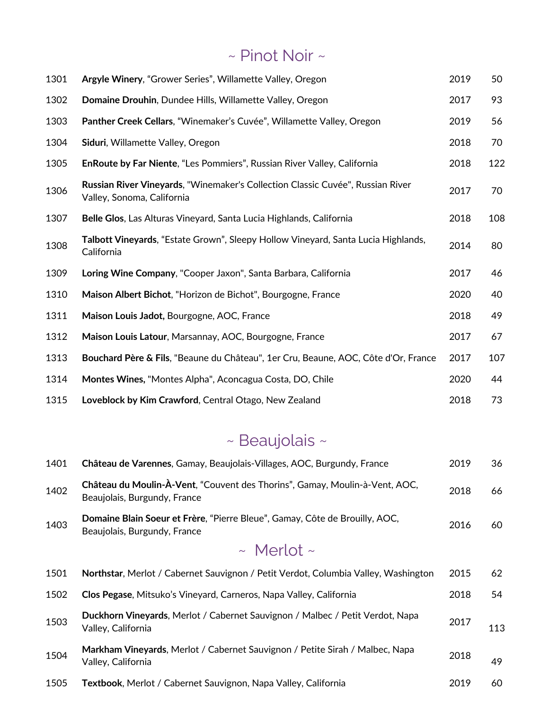## ~ Pinot Noir ~

| 1301 | Argyle Winery, "Grower Series", Willamette Valley, Oregon                                                    | 2019 | 50  |
|------|--------------------------------------------------------------------------------------------------------------|------|-----|
| 1302 | Domaine Drouhin, Dundee Hills, Willamette Valley, Oregon                                                     | 2017 | 93  |
| 1303 | Panther Creek Cellars, "Winemaker's Cuvée", Willamette Valley, Oregon                                        | 2019 | 56  |
| 1304 | Siduri, Willamette Valley, Oregon                                                                            | 2018 | 70  |
| 1305 | EnRoute by Far Niente, "Les Pommiers", Russian River Valley, California                                      | 2018 | 122 |
| 1306 | Russian River Vineyards, "Winemaker's Collection Classic Cuvée", Russian River<br>Valley, Sonoma, California | 2017 | 70  |
| 1307 | Belle Glos, Las Alturas Vineyard, Santa Lucia Highlands, California                                          | 2018 | 108 |
| 1308 | Talbott Vineyards, "Estate Grown", Sleepy Hollow Vineyard, Santa Lucia Highlands,<br>California              | 2014 | 80  |
| 1309 | Loring Wine Company, "Cooper Jaxon", Santa Barbara, California                                               | 2017 | 46  |
| 1310 | Maison Albert Bichot, "Horizon de Bichot", Bourgogne, France                                                 | 2020 | 40  |
| 1311 | Maison Louis Jadot, Bourgogne, AOC, France                                                                   | 2018 | 49  |
| 1312 | Maison Louis Latour, Marsannay, AOC, Bourgogne, France                                                       | 2017 | 67  |
| 1313 | Bouchard Père & Fils, "Beaune du Château", 1er Cru, Beaune, AOC, Côte d'Or, France                           | 2017 | 107 |
| 1314 | Montes Wines, "Montes Alpha", Aconcagua Costa, DO, Chile                                                     | 2020 | 44  |
| 1315 | Loveblock by Kim Crawford, Central Otago, New Zealand                                                        | 2018 | 73  |

## ~ Beaujolais ~

| 1401 | Château de Varennes, Gamay, Beaujolais-Villages, AOC, Burgundy, France                                      | 2019 | 36  |
|------|-------------------------------------------------------------------------------------------------------------|------|-----|
| 1402 | Château du Moulin-À-Vent, "Couvent des Thorins", Gamay, Moulin-à-Vent, AOC,<br>Beaujolais, Burgundy, France | 2018 | 66  |
| 1403 | Domaine Blain Soeur et Frère, "Pierre Bleue", Gamay, Côte de Brouilly, AOC,<br>Beaujolais, Burgundy, France | 2016 | 60  |
|      | $\sim$ Merlot $\sim$                                                                                        |      |     |
| 1501 | Northstar, Merlot / Cabernet Sauvignon / Petit Verdot, Columbia Valley, Washington                          | 2015 | 62  |
| 1502 | Clos Pegase, Mitsuko's Vineyard, Carneros, Napa Valley, California                                          | 2018 | 54  |
| 1503 | Duckhorn Vineyards, Merlot / Cabernet Sauvignon / Malbec / Petit Verdot, Napa<br>Valley, California         | 2017 | 113 |
| 1504 | Markham Vineyards, Merlot / Cabernet Sauvignon / Petite Sirah / Malbec, Napa<br>Valley, California          | 2018 | 49  |
| 1505 | <b>Textbook</b> , Merlot / Cabernet Sauvignon, Napa Valley, California                                      | 2019 | 60  |
|      |                                                                                                             |      |     |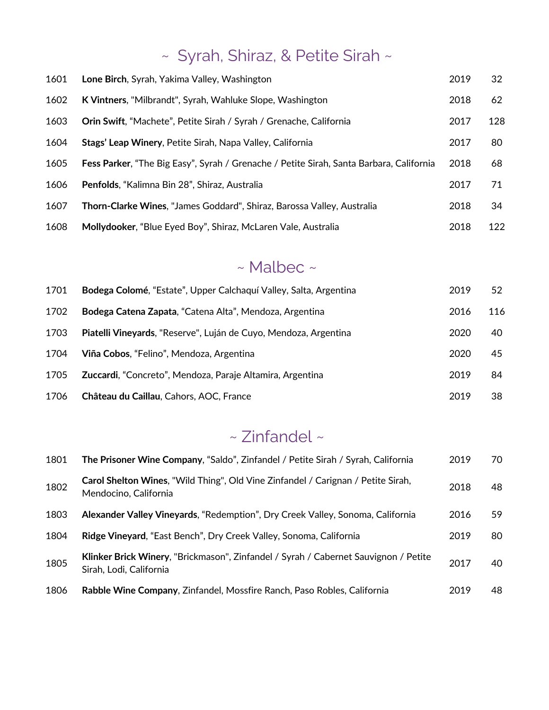# ~ Syrah, Shiraz, & Petite Sirah ~

| 1601 | Lone Birch, Syrah, Yakima Valley, Washington                                            | 2019 | 32  |
|------|-----------------------------------------------------------------------------------------|------|-----|
| 1602 | K Vintners, "Milbrandt", Syrah, Wahluke Slope, Washington                               | 2018 | 62  |
| 1603 | Orin Swift, "Machete", Petite Sirah / Syrah / Grenache, California                      | 2017 | 128 |
| 1604 | Stags' Leap Winery, Petite Sirah, Napa Valley, California                               | 2017 | 80  |
| 1605 | Fess Parker, "The Big Easy", Syrah / Grenache / Petite Sirah, Santa Barbara, California | 2018 | 68  |
| 1606 | Penfolds, "Kalimna Bin 28", Shiraz, Australia                                           | 2017 | 71  |
| 1607 | Thorn-Clarke Wines, "James Goddard", Shiraz, Barossa Valley, Australia                  | 2018 | 34  |
| 1608 | Mollydooker, "Blue Eyed Boy", Shiraz, McLaren Vale, Australia                           | 2018 | 122 |

#### ~ Malbec ~

| 1701 | Bodega Colomé, "Estate", Upper Calchaquí Valley, Salta, Argentina | 2019 | 52  |
|------|-------------------------------------------------------------------|------|-----|
| 1702 | Bodega Catena Zapata, "Catena Alta", Mendoza, Argentina           | 2016 | 116 |
| 1703 | Piatelli Vineyards, "Reserve", Luján de Cuyo, Mendoza, Argentina  | 2020 | 40  |
| 1704 | Viña Cobos, "Felino", Mendoza, Argentina                          | 2020 | 45  |
| 1705 | Zuccardi, "Concreto", Mendoza, Paraje Altamira, Argentina         | 2019 | 84  |
| 1706 | Château du Caillau, Cahors, AOC, France                           | 2019 | 38  |

## ~ Zinfandel ~

| 1801 | The Prisoner Wine Company, "Saldo", Zinfandel / Petite Sirah / Syrah, California                                 | 2019 | 70 |
|------|------------------------------------------------------------------------------------------------------------------|------|----|
| 1802 | <b>Carol Shelton Wines, "Wild Thing", Old Vine Zinfandel / Carignan / Petite Sirah,</b><br>Mendocino, California | 2018 | 48 |
| 1803 | Alexander Valley Vineyards, "Redemption", Dry Creek Valley, Sonoma, California                                   | 2016 | 59 |
| 1804 | Ridge Vineyard, "East Bench", Dry Creek Valley, Sonoma, California                                               | 2019 | 80 |
| 1805 | Klinker Brick Winery, "Brickmason", Zinfandel / Syrah / Cabernet Sauvignon / Petite<br>Sirah, Lodi, California   | 2017 | 40 |
| 1806 | Rabble Wine Company, Zinfandel, Mossfire Ranch, Paso Robles, California                                          | 2019 | 48 |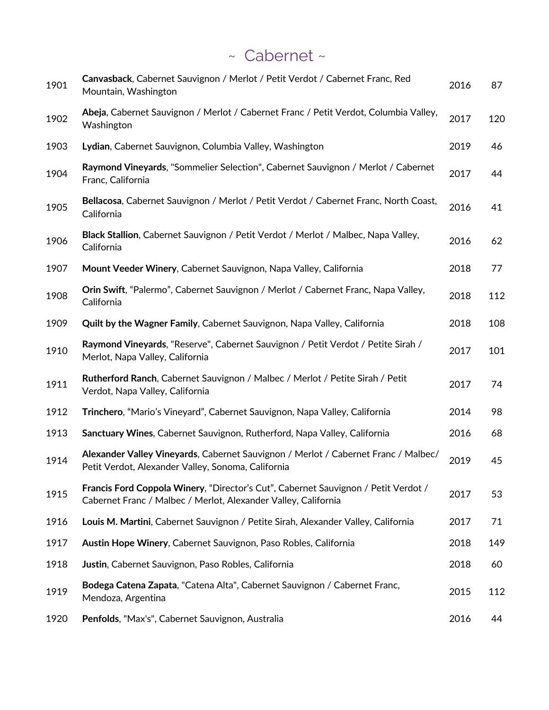## ~ Cabernet ~

| 1901 | Canvasback, Cabernet Sauvignon / Merlot / Petit Verdot / Cabernet Franc, Red<br>Mountain, Washington                                                 | 2016 | 87  |
|------|------------------------------------------------------------------------------------------------------------------------------------------------------|------|-----|
| 1902 | Abeja, Cabernet Sauvignon / Merlot / Cabernet Franc / Petit Verdot, Columbia Valley,<br>Washington                                                   | 2017 | 120 |
| 1903 | Lydian, Cabernet Sauvignon, Columbia Valley, Washington                                                                                              | 2019 | 46  |
| 1904 | Raymond Vineyards, "Sommelier Selection", Cabernet Sauvignon / Merlot / Cabernet<br>Franc, California                                                | 2017 | 44  |
| 1905 | Bellacosa, Cabernet Sauvignon / Merlot / Petit Verdot / Cabernet Franc, North Coast,<br>California                                                   | 2016 | 41  |
| 1906 | Black Stallion, Cabernet Sauvignon / Petit Verdot / Merlot / Malbec, Napa Valley,<br>California                                                      | 2016 | 62  |
| 1907 | Mount Veeder Winery, Cabernet Sauvignon, Napa Valley, California                                                                                     | 2018 | 77  |
| 1908 | Orin Swift, "Palermo", Cabernet Sauvignon / Merlot / Cabernet Franc, Napa Valley,<br>California                                                      | 2018 | 112 |
| 1909 | Quilt by the Wagner Family, Cabernet Sauvignon, Napa Valley, California                                                                              | 2018 | 108 |
| 1910 | Raymond Vineyards, "Reserve", Cabernet Sauvignon / Petit Verdot / Petite Sirah /<br>Merlot, Napa Valley, California                                  | 2017 | 101 |
| 1911 | Rutherford Ranch, Cabernet Sauvignon / Malbec / Merlot / Petite Sirah / Petit<br>Verdot, Napa Valley, California                                     | 2017 | 74  |
| 1912 | Trinchero, "Mario's Vineyard", Cabernet Sauvignon, Napa Valley, California                                                                           | 2014 | 98  |
| 1913 | Sanctuary Wines, Cabernet Sauvignon, Rutherford, Napa Valley, California                                                                             | 2016 | 68  |
| 1914 | Alexander Valley Vineyards, Cabernet Sauvignon / Merlot / Cabernet Franc / Malbec/<br>Petit Verdot, Alexander Valley, Sonoma, California             | 2019 | 45  |
| 1915 | Francis Ford Coppola Winery, "Director's Cut", Cabernet Sauvignon / Petit Verdot /<br>Cabernet Franc / Malbec / Merlot, Alexander Valley, California | 2017 | 53  |
| 1916 | Louis M. Martini, Cabernet Sauvignon / Petite Sirah, Alexander Valley, California                                                                    | 2017 | 71  |
| 1917 | Austin Hope Winery, Cabernet Sauvignon, Paso Robles, California                                                                                      | 2018 | 149 |
| 1918 | Justin, Cabernet Sauvignon, Paso Robles, California                                                                                                  | 2018 | 60  |
| 1919 | Bodega Catena Zapata, "Catena Alta", Cabernet Sauvignon / Cabernet Franc,<br>Mendoza, Argentina                                                      | 2015 | 112 |
| 1920 | Penfolds, "Max's", Cabernet Sauvignon, Australia                                                                                                     | 2016 | 44  |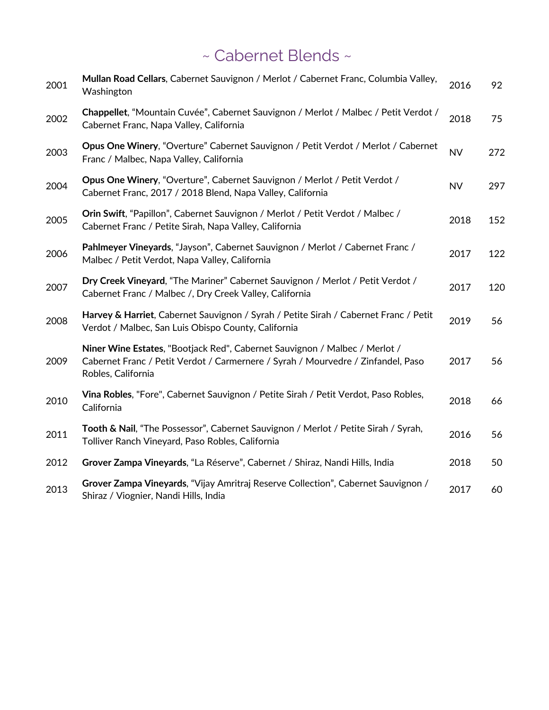## ~ Cabernet Blends ~

| 2001 | Mullan Road Cellars, Cabernet Sauvignon / Merlot / Cabernet Franc, Columbia Valley,<br>Washington                                                                                    | 2016      | 92  |
|------|--------------------------------------------------------------------------------------------------------------------------------------------------------------------------------------|-----------|-----|
| 2002 | Chappellet, "Mountain Cuvée", Cabernet Sauvignon / Merlot / Malbec / Petit Verdot /<br>Cabernet Franc, Napa Valley, California                                                       | 2018      | 75  |
| 2003 | Opus One Winery, "Overture" Cabernet Sauvignon / Petit Verdot / Merlot / Cabernet<br>Franc / Malbec, Napa Valley, California                                                         | <b>NV</b> | 272 |
| 2004 | Opus One Winery, "Overture", Cabernet Sauvignon / Merlot / Petit Verdot /<br>Cabernet Franc, 2017 / 2018 Blend, Napa Valley, California                                              | <b>NV</b> | 297 |
| 2005 | Orin Swift, "Papillon", Cabernet Sauvignon / Merlot / Petit Verdot / Malbec /<br>Cabernet Franc / Petite Sirah, Napa Valley, California                                              | 2018      | 152 |
| 2006 | Pahlmeyer Vineyards, "Jayson", Cabernet Sauvignon / Merlot / Cabernet Franc /<br>Malbec / Petit Verdot, Napa Valley, California                                                      | 2017      | 122 |
| 2007 | Dry Creek Vineyard, "The Mariner" Cabernet Sauvignon / Merlot / Petit Verdot /<br>Cabernet Franc / Malbec /, Dry Creek Valley, California                                            | 2017      | 120 |
| 2008 | Harvey & Harriet, Cabernet Sauvignon / Syrah / Petite Sirah / Cabernet Franc / Petit<br>Verdot / Malbec, San Luis Obispo County, California                                          | 2019      | 56  |
| 2009 | Niner Wine Estates, "Bootjack Red", Cabernet Sauvignon / Malbec / Merlot /<br>Cabernet Franc / Petit Verdot / Carmernere / Syrah / Mourvedre / Zinfandel, Paso<br>Robles, California | 2017      | 56  |
| 2010 | Vina Robles, "Fore", Cabernet Sauvignon / Petite Sirah / Petit Verdot, Paso Robles,<br>California                                                                                    | 2018      | 66  |
| 2011 | Tooth & Nail, "The Possessor", Cabernet Sauvignon / Merlot / Petite Sirah / Syrah,<br>Tolliver Ranch Vineyard, Paso Robles, California                                               | 2016      | 56  |
| 2012 | Grover Zampa Vineyards, "La Réserve", Cabernet / Shiraz, Nandi Hills, India                                                                                                          | 2018      | 50  |
| 2013 | Grover Zampa Vineyards, "Vijay Amritraj Reserve Collection", Cabernet Sauvignon /<br>Shiraz / Viognier, Nandi Hills, India                                                           | 2017      | 60  |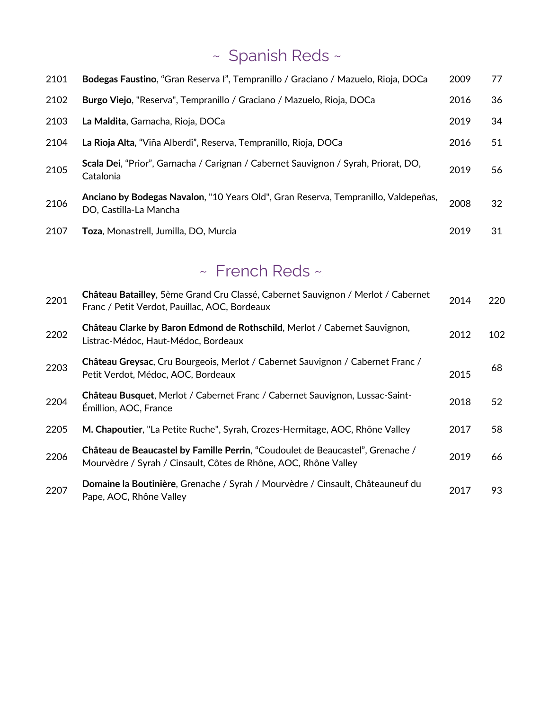# ~ Spanish Reds ~

| 2101 | Bodegas Faustino, "Gran Reserva I", Tempranillo / Graciano / Mazuelo, Rioja, DOCa                            | 2009 | 77 |
|------|--------------------------------------------------------------------------------------------------------------|------|----|
| 2102 | Burgo Viejo, "Reserva", Tempranillo / Graciano / Mazuelo, Rioja, DOCa                                        | 2016 | 36 |
| 2103 | La Maldita, Garnacha, Rioja, DOCa                                                                            | 2019 | 34 |
| 2104 | La Rioja Alta, "Viña Alberdi", Reserva, Tempranillo, Rioja, DOCa                                             | 2016 | 51 |
| 2105 | Scala Dei, "Prior", Garnacha / Carignan / Cabernet Sauvignon / Syrah, Priorat, DO,<br>Catalonia              | 2019 | 56 |
| 2106 | Anciano by Bodegas Navalon, "10 Years Old", Gran Reserva, Tempranillo, Valdepeñas,<br>DO, Castilla-La Mancha | 2008 | 32 |
| 2107 | <b>Toza</b> , Monastrell, Jumilla, DO, Murcia                                                                | 2019 | 31 |

## ~ French Reds ~

| 2201 | Château Batailley, 5ème Grand Cru Classé, Cabernet Sauvignon / Merlot / Cabernet<br>Franc / Petit Verdot, Pauillac, AOC, Bordeaux                 | 2014 | 220 |
|------|---------------------------------------------------------------------------------------------------------------------------------------------------|------|-----|
| 2202 | Château Clarke by Baron Edmond de Rothschild, Merlot / Cabernet Sauvignon,<br>Listrac-Médoc, Haut-Médoc, Bordeaux                                 | 2012 | 102 |
| 2203 | Château Greysac, Cru Bourgeois, Merlot / Cabernet Sauvignon / Cabernet Franc /<br>Petit Verdot, Médoc, AOC, Bordeaux                              | 2015 | 68  |
| 2204 | Château Busquet, Merlot / Cabernet Franc / Cabernet Sauvignon, Lussac-Saint-<br>Émillion, AOC, France                                             | 2018 | 52  |
| 2205 | M. Chapoutier, "La Petite Ruche", Syrah, Crozes-Hermitage, AOC, Rhône Valley                                                                      | 2017 | 58  |
| 2206 | Château de Beaucastel by Famille Perrin, "Coudoulet de Beaucastel", Grenache /<br>Mourvèdre / Syrah / Cinsault, Côtes de Rhône, AOC, Rhône Valley | 2019 | 66  |
| 2207 | Domaine la Boutinière, Grenache / Syrah / Mourvèdre / Cinsault, Châteauneuf du<br>Pape, AOC, Rhône Valley                                         | 2017 | 93. |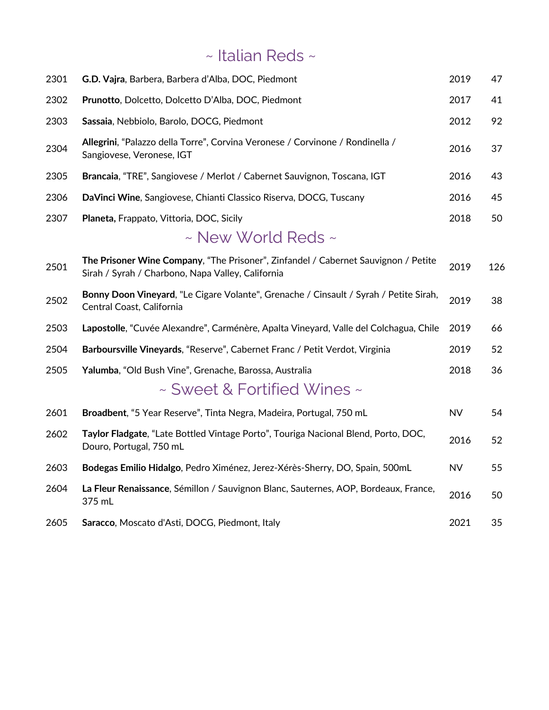## ~ Italian Reds ~

| 2301 | G.D. Vajra, Barbera, Barbera d'Alba, DOC, Piedmont                                                                                      | 2019      | 47  |
|------|-----------------------------------------------------------------------------------------------------------------------------------------|-----------|-----|
| 2302 | Prunotto, Dolcetto, Dolcetto D'Alba, DOC, Piedmont                                                                                      | 2017      | 41  |
| 2303 | Sassaia, Nebbiolo, Barolo, DOCG, Piedmont                                                                                               | 2012      | 92  |
| 2304 | Allegrini, "Palazzo della Torre", Corvina Veronese / Corvinone / Rondinella /<br>Sangiovese, Veronese, IGT                              | 2016      | 37  |
| 2305 | Brancaia, "TRE", Sangiovese / Merlot / Cabernet Sauvignon, Toscana, IGT                                                                 | 2016      | 43  |
| 2306 | DaVinci Wine, Sangiovese, Chianti Classico Riserva, DOCG, Tuscany                                                                       | 2016      | 45  |
| 2307 | Planeta, Frappato, Vittoria, DOC, Sicily                                                                                                | 2018      | 50  |
|      | $\sim$ New World Reds $\sim$                                                                                                            |           |     |
| 2501 | The Prisoner Wine Company, "The Prisoner", Zinfandel / Cabernet Sauvignon / Petite<br>Sirah / Syrah / Charbono, Napa Valley, California | 2019      | 126 |
| 2502 | Bonny Doon Vineyard, "Le Cigare Volante", Grenache / Cinsault / Syrah / Petite Sirah,<br>Central Coast, California                      | 2019      | 38  |
| 2503 | Lapostolle, "Cuvée Alexandre", Carménère, Apalta Vineyard, Valle del Colchagua, Chile                                                   | 2019      | 66  |
| 2504 | Barboursville Vineyards, "Reserve", Cabernet Franc / Petit Verdot, Virginia                                                             | 2019      | 52  |
| 2505 | Yalumba, "Old Bush Vine", Grenache, Barossa, Australia                                                                                  | 2018      | 36  |
|      | ~ Sweet & Fortified Wines ~                                                                                                             |           |     |
| 2601 | Broadbent, "5 Year Reserve", Tinta Negra, Madeira, Portugal, 750 mL                                                                     | <b>NV</b> | 54  |
| 2602 | Taylor Fladgate, "Late Bottled Vintage Porto", Touriga Nacional Blend, Porto, DOC,<br>Douro, Portugal, 750 mL                           | 2016      | 52  |
| 2603 | Bodegas Emilio Hidalgo, Pedro Ximénez, Jerez-Xérès-Sherry, DO, Spain, 500mL                                                             | <b>NV</b> | 55  |
| 2604 | La Fleur Renaissance, Sémillon / Sauvignon Blanc, Sauternes, AOP, Bordeaux, France,<br>375 mL                                           | 2016      | 50  |
| 2605 | Saracco, Moscato d'Asti, DOCG, Piedmont, Italy                                                                                          | 2021      | 35  |